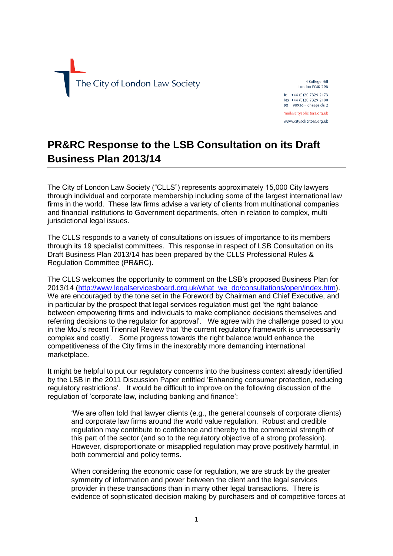

4 College Hill London EC4R 2RB Tel +44 (0)20 7329 2173 Fax +44 (0)20 7329 2190  $DX$  98936 - Cheapside 2

mail@citysolicitors.org.uk www.citysolicitors.org.uk

## **PR&RC Response to the LSB Consultation on its Draft Business Plan 2013/14**

The City of London Law Society ("CLLS") represents approximately 15,000 City lawyers through individual and corporate membership including some of the largest international law firms in the world. These law firms advise a variety of clients from multinational companies and financial institutions to Government departments, often in relation to complex, multi jurisdictional legal issues.

The CLLS responds to a variety of consultations on issues of importance to its members through its 19 specialist committees. This response in respect of LSB Consultation on its Draft Business Plan 2013/14 has been prepared by the CLLS Professional Rules & Regulation Committee (PR&RC).

The CLLS welcomes the opportunity to comment on the LSB's proposed Business Plan for 2013/14 [\(http://www.legalservicesboard.org.uk/what\\_we\\_do/consultations/open/index.htm\)](http://www.legalservicesboard.org.uk/what_we_do/consultations/open/index.htm). We are encouraged by the tone set in the Foreword by Chairman and Chief Executive, and in particular by the prospect that legal services regulation must get 'the right balance between empowering firms and individuals to make compliance decisions themselves and referring decisions to the regulator for approval'. We agree with the challenge posed to you in the MoJ's recent Triennial Review that 'the current regulatory framework is unnecessarily complex and costly'. Some progress towards the right balance would enhance the competitiveness of the City firms in the inexorably more demanding international marketplace.

It might be helpful to put our regulatory concerns into the business context already identified by the LSB in the 2011 Discussion Paper entitled 'Enhancing consumer protection, reducing regulatory restrictions'. It would be difficult to improve on the following discussion of the regulation of 'corporate law, including banking and finance':

'We are often told that lawyer clients (e.g., the general counsels of corporate clients) and corporate law firms around the world value regulation. Robust and credible regulation may contribute to confidence and thereby to the commercial strength of this part of the sector (and so to the regulatory objective of a strong profession). However, disproportionate or misapplied regulation may prove positively harmful, in both commercial and policy terms.

When considering the economic case for regulation, we are struck by the greater symmetry of information and power between the client and the legal services provider in these transactions than in many other legal transactions. There is evidence of sophisticated decision making by purchasers and of competitive forces at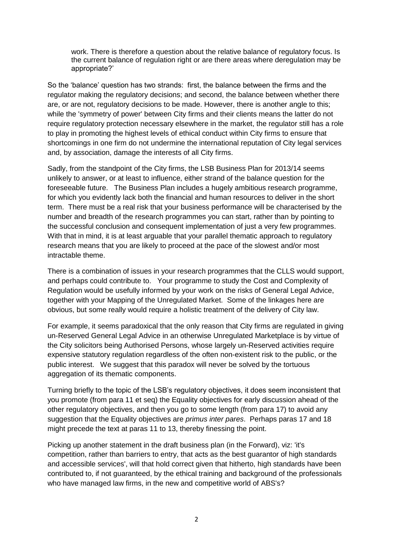work. There is therefore a question about the relative balance of regulatory focus. Is the current balance of regulation right or are there areas where deregulation may be appropriate?'

So the 'balance' question has two strands: first, the balance between the firms and the regulator making the regulatory decisions; and second, the balance between whether there are, or are not, regulatory decisions to be made. However, there is another angle to this; while the 'symmetry of power' between City firms and their clients means the latter do not require regulatory protection necessary elsewhere in the market, the regulator still has a role to play in promoting the highest levels of ethical conduct within City firms to ensure that shortcomings in one firm do not undermine the international reputation of City legal services and, by association, damage the interests of all City firms.

Sadly, from the standpoint of the City firms, the LSB Business Plan for 2013/14 seems unlikely to answer, or at least to influence, either strand of the balance question for the foreseeable future. The Business Plan includes a hugely ambitious research programme, for which you evidently lack both the financial and human resources to deliver in the short term. There must be a real risk that your business performance will be characterised by the number and breadth of the research programmes you can start, rather than by pointing to the successful conclusion and consequent implementation of just a very few programmes. With that in mind, it is at least arguable that your parallel thematic approach to regulatory research means that you are likely to proceed at the pace of the slowest and/or most intractable theme.

There is a combination of issues in your research programmes that the CLLS would support, and perhaps could contribute to. Your programme to study the Cost and Complexity of Regulation would be usefully informed by your work on the risks of General Legal Advice, together with your Mapping of the Unregulated Market. Some of the linkages here are obvious, but some really would require a holistic treatment of the delivery of City law.

For example, it seems paradoxical that the only reason that City firms are regulated in giving un-Reserved General Legal Advice in an otherwise Unregulated Marketplace is by virtue of the City solicitors being Authorised Persons, whose largely un-Reserved activities require expensive statutory regulation regardless of the often non-existent risk to the public, or the public interest. We suggest that this paradox will never be solved by the tortuous aggregation of its thematic components.

Turning briefly to the topic of the LSB's regulatory objectives, it does seem inconsistent that you promote (from para 11 et seq) the Equality objectives for early discussion ahead of the other regulatory objectives, and then you go to some length (from para 17) to avoid any suggestion that the Equality objectives are *primus inter pares*. Perhaps paras 17 and 18 might precede the text at paras 11 to 13, thereby finessing the point.

Picking up another statement in the draft business plan (in the Forward), viz: 'it's competition, rather than barriers to entry, that acts as the best guarantor of high standards and accessible services', will that hold correct given that hitherto, high standards have been contributed to, if not guaranteed, by the ethical training and background of the professionals who have managed law firms, in the new and competitive world of ABS's?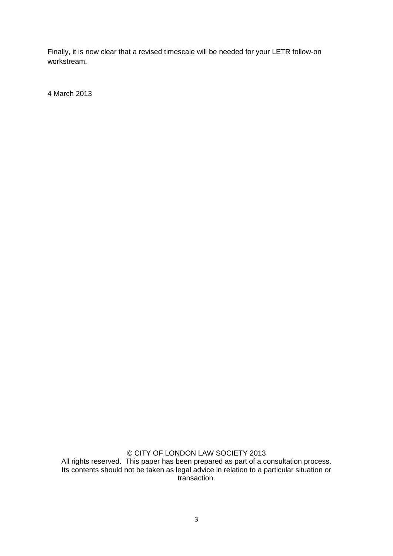Finally, it is now clear that a revised timescale will be needed for your LETR follow-on workstream.

4 March 2013

© CITY OF LONDON LAW SOCIETY 2013 All rights reserved. This paper has been prepared as part of a consultation process. Its contents should not be taken as legal advice in relation to a particular situation or transaction.